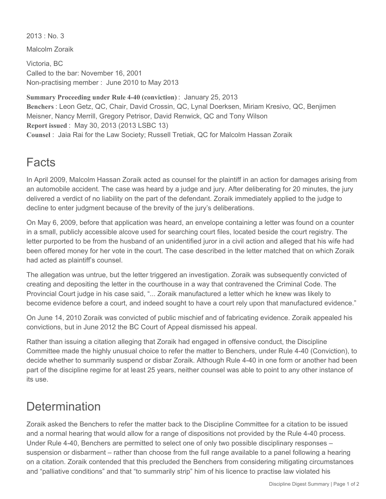$2013 \cdot$  No. 3

Malcolm Zoraik

Victoria, BC Called to the bar: November 16, 2001 Non-practising member : June 2010 to May 2013

**Summary Proceeding under Rule 4-40 (conviction)** : January 25, 2013 **Benchers** : Leon Getz, QC, Chair, David Crossin, QC, Lynal Doerksen, Miriam Kresivo, QC, Benjimen Meisner, Nancy Merrill, Gregory Petrisor, David Renwick, QC and Tony Wilson **Report issued** : May 30, 2013 (2013 LSBC 13) **Counsel** : Jaia Rai for the Law Society; Russell Tretiak, QC for Malcolm Hassan Zoraik

## Facts

In April 2009, Malcolm Hassan Zoraik acted as counsel for the plaintiff in an action for damages arising from an automobile accident. The case was heard by a judge and jury. After deliberating for 20 minutes, the jury delivered a verdict of no liability on the part of the defendant. Zoraik immediately applied to the judge to decline to enter judgment because of the brevity of the jury's deliberations.

On May 6, 2009, before that application was heard, an envelope containing a letter was found on a counter in a small, publicly accessible alcove used for searching court files, located beside the court registry. The letter purported to be from the husband of an unidentified juror in a civil action and alleged that his wife had been offered money for her vote in the court. The case described in the letter matched that on which Zoraik had acted as plaintiff's counsel.

The allegation was untrue, but the letter triggered an investigation. Zoraik was subsequently convicted of creating and depositing the letter in the courthouse in a way that contravened the Criminal Code. The Provincial Court judge in his case said, "... Zoraik manufactured a letter which he knew was likely to become evidence before a court, and indeed sought to have a court rely upon that manufactured evidence."

On June 14, 2010 Zoraik was convicted of public mischief and of fabricating evidence. Zoraik appealed his convictions, but in June 2012 the BC Court of Appeal dismissed his appeal.

Rather than issuing a citation alleging that Zoraik had engaged in offensive conduct, the Discipline Committee made the highly unusual choice to refer the matter to Benchers, under Rule 4-40 (Conviction), to decide whether to summarily suspend or disbar Zoraik. Although Rule 4-40 in one form or another had been part of the discipline regime for at least 25 years, neither counsel was able to point to any other instance of its use.

## **Determination**

Zoraik asked the Benchers to refer the matter back to the Discipline Committee for a citation to be issued and a normal hearing that would allow for a range of dispositions not provided by the Rule 4-40 process. Under Rule 4-40, Benchers are permitted to select one of only two possible disciplinary responses – suspension or disbarment – rather than choose from the full range available to a panel following a hearing on a citation. Zoraik contended that this precluded the Benchers from considering mitigating circumstances and "palliative conditions" and that "to summarily strip" him of his licence to practise law violated his